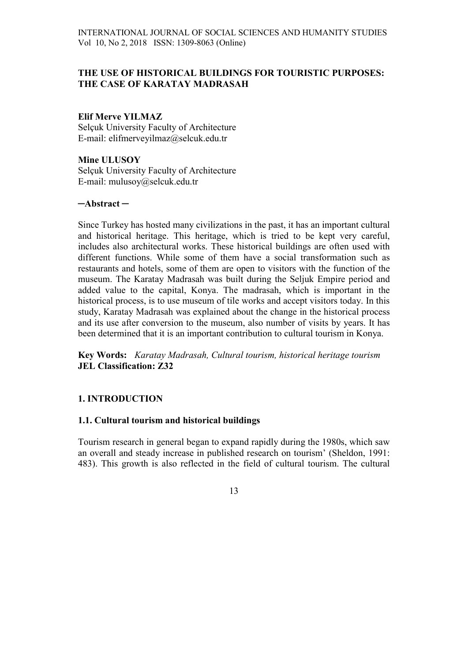# THE USE OF HISTORICAL BUILDINGS FOR TOURISTIC PURPOSES: THE CASE OF KARATAY MADRASAH

## Elif Merve YILMAZ

Selçuk University Faculty of Architecture E-mail: elifmerveyilmaz@selcuk.edu.tr

## Mine ULUSOY Selçuk University Faculty of Architecture E-mail: mulusoy@selcuk.edu.tr

### ─Abstract ─

Since Turkey has hosted many civilizations in the past, it has an important cultural and historical heritage. This heritage, which is tried to be kept very careful, includes also architectural works. These historical buildings are often used with different functions. While some of them have a social transformation such as restaurants and hotels, some of them are open to visitors with the function of the museum. The Karatay Madrasah was built during the Seljuk Empire period and added value to the capital, Konya. The madrasah, which is important in the historical process, is to use museum of tile works and accept visitors today. In this study, Karatay Madrasah was explained about the change in the historical process and its use after conversion to the museum, also number of visits by years. It has been determined that it is an important contribution to cultural tourism in Konya.

Key Words: Karatay Madrasah, Cultural tourism, historical heritage tourism JEL Classification: Z32

## 1. INTRODUCTION

## 1.1. Cultural tourism and historical buildings

Tourism research in general began to expand rapidly during the 1980s, which saw an overall and steady increase in published research on tourism' (Sheldon, 1991: 483). This growth is also reflected in the field of cultural tourism. The cultural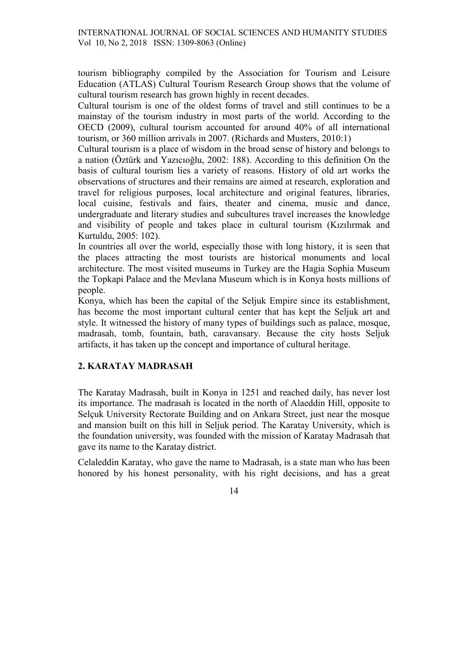tourism bibliography compiled by the Association for Tourism and Leisure Education (ATLAS) Cultural Tourism Research Group shows that the volume of cultural tourism research has grown highly in recent decades.

Cultural tourism is one of the oldest forms of travel and still continues to be a mainstay of the tourism industry in most parts of the world. According to the OECD (2009), cultural tourism accounted for around 40% of all international tourism, or 360 million arrivals in 2007. (Richards and Musters, 2010:1)

Cultural tourism is a place of wisdom in the broad sense of history and belongs to a nation (Öztürk and Yazıcıoğlu, 2002: 188). According to this definition On the basis of cultural tourism lies a variety of reasons. History of old art works the observations of structures and their remains are aimed at research, exploration and travel for religious purposes, local architecture and original features, libraries, local cuisine, festivals and fairs, theater and cinema, music and dance, undergraduate and literary studies and subcultures travel increases the knowledge and visibility of people and takes place in cultural tourism (Kızılırmak and Kurtuldu, 2005: 102).

In countries all over the world, especially those with long history, it is seen that the places attracting the most tourists are historical monuments and local architecture. The most visited museums in Turkey are the Hagia Sophia Museum the Topkapi Palace and the Mevlana Museum which is in Konya hosts millions of people.

Konya, which has been the capital of the Seljuk Empire since its establishment, has become the most important cultural center that has kept the Seljuk art and style. It witnessed the history of many types of buildings such as palace, mosque, madrasah, tomb, fountain, bath, caravansary. Because the city hosts Seljuk artifacts, it has taken up the concept and importance of cultural heritage.

# 2. KARATAY MADRASAH

The Karatay Madrasah, built in Konya in 1251 and reached daily, has never lost its importance. The madrasah is located in the north of Alaeddin Hill, opposite to Selçuk University Rectorate Building and on Ankara Street, just near the mosque and mansion built on this hill in Seljuk period. The Karatay University, which is the foundation university, was founded with the mission of Karatay Madrasah that gave its name to the Karatay district.

Celaleddin Karatay, who gave the name to Madrasah, is a state man who has been honored by his honest personality, with his right decisions, and has a great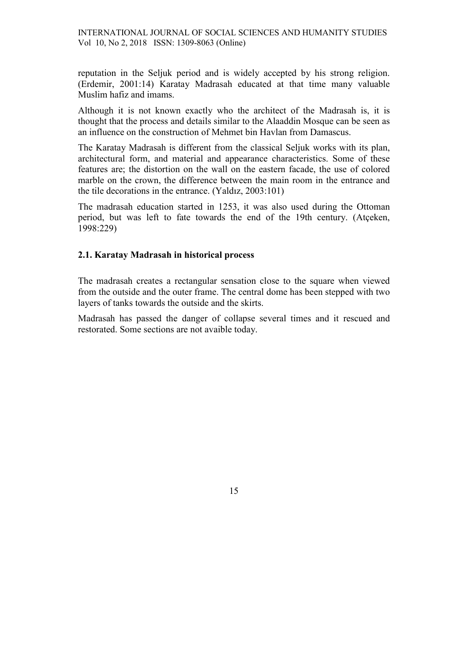reputation in the Seljuk period and is widely accepted by his strong religion. (Erdemir, 2001:14) Karatay Madrasah educated at that time many valuable Muslim hafiz and imams.

Although it is not known exactly who the architect of the Madrasah is, it is thought that the process and details similar to the Alaaddin Mosque can be seen as an influence on the construction of Mehmet bin Havlan from Damascus.

The Karatay Madrasah is different from the classical Seljuk works with its plan, architectural form, and material and appearance characteristics. Some of these features are; the distortion on the wall on the eastern facade, the use of colored marble on the crown, the difference between the main room in the entrance and the tile decorations in the entrance. (Yaldız, 2003:101)

The madrasah education started in 1253, it was also used during the Ottoman period, but was left to fate towards the end of the 19th century. (Atçeken, 1998:229)

## 2.1. Karatay Madrasah in historical process

The madrasah creates a rectangular sensation close to the square when viewed from the outside and the outer frame. The central dome has been stepped with two layers of tanks towards the outside and the skirts.

Madrasah has passed the danger of collapse several times and it rescued and restorated. Some sections are not avaible today.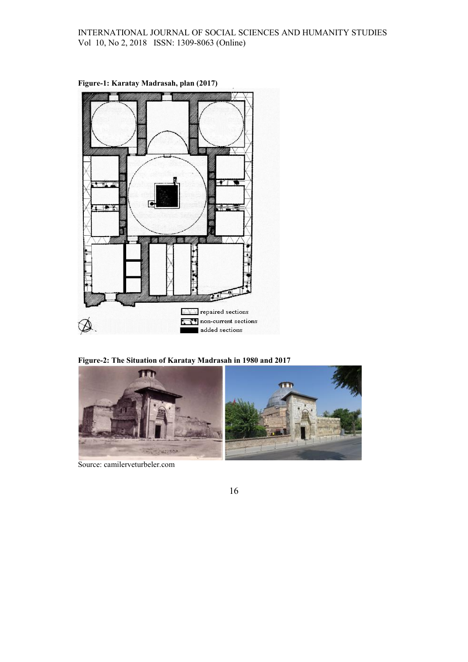

Figure-1: Karatay Madrasah, plan (2017)

Figure-2: The Situation of Karatay Madrasah in 1980 and 2017



Source: camilerveturbeler.com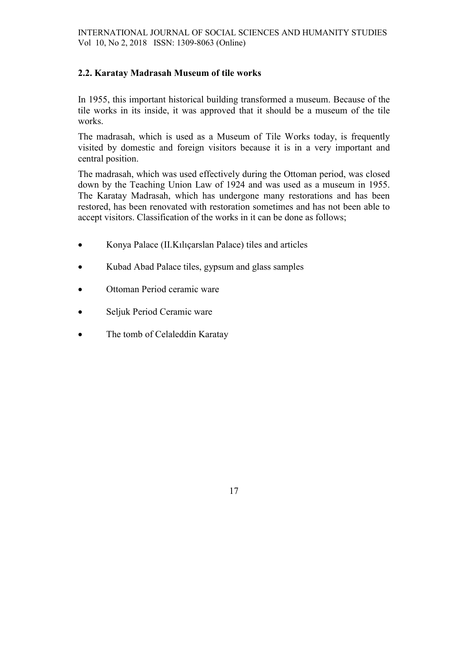# 2.2. Karatay Madrasah Museum of tile works

In 1955, this important historical building transformed a museum. Because of the tile works in its inside, it was approved that it should be a museum of the tile works.

The madrasah, which is used as a Museum of Tile Works today, is frequently visited by domestic and foreign visitors because it is in a very important and central position.

The madrasah, which was used effectively during the Ottoman period, was closed down by the Teaching Union Law of 1924 and was used as a museum in 1955. The Karatay Madrasah, which has undergone many restorations and has been restored, has been renovated with restoration sometimes and has not been able to accept visitors. Classification of the works in it can be done as follows;

- Konya Palace (II.Kılıçarslan Palace) tiles and articles
- Kubad Abad Palace tiles, gypsum and glass samples
- Ottoman Period ceramic ware
- Seljuk Period Ceramic ware
- The tomb of Celaleddin Karatay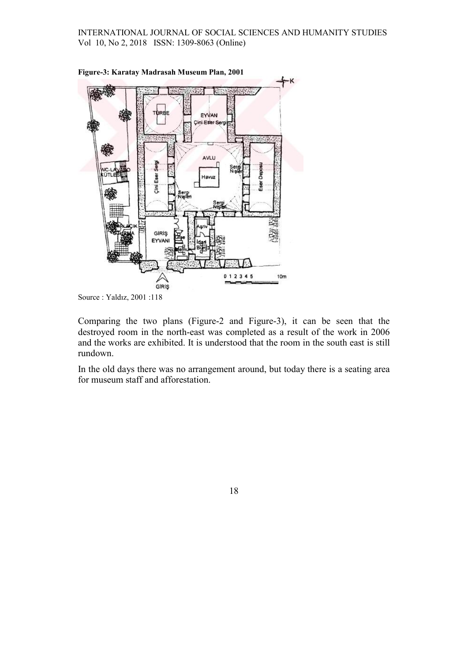

Figure-3: Karatay Madrasah Museum Plan, 2001

Source : Yaldız, 2001 :118

Comparing the two plans (Figure-2 and Figure-3), it can be seen that the destroyed room in the north-east was completed as a result of the work in 2006 and the works are exhibited. It is understood that the room in the south east is still rundown.

In the old days there was no arrangement around, but today there is a seating area for museum staff and afforestation.

18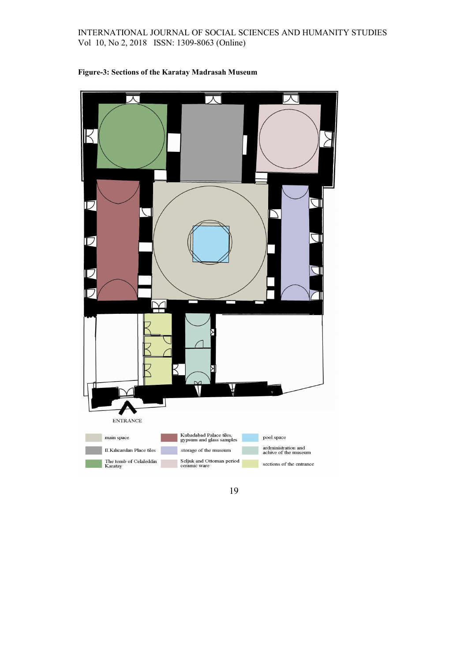### INTERNATIONAL JOURNAL OF SOCIAL SCIENCES AND HUMANITY STUDIES Vol 10, No 2, 2018 ISSN: 1309-8063 (Online)



#### Figure-3: Sections of the Karatay Madrasah Museum

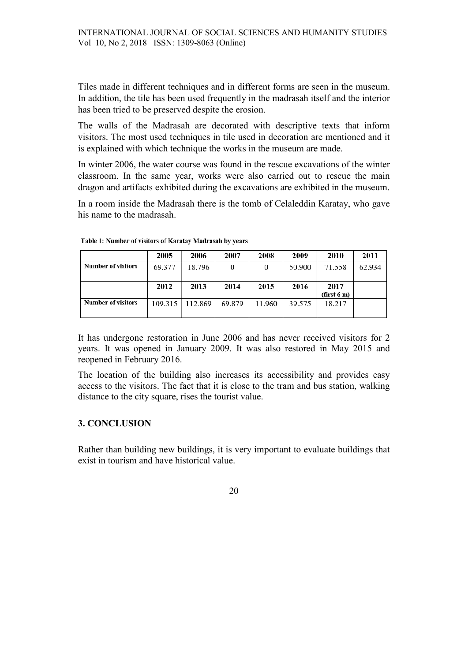Tiles made in different techniques and in different forms are seen in the museum. In addition, the tile has been used frequently in the madrasah itself and the interior has been tried to be preserved despite the erosion.

The walls of the Madrasah are decorated with descriptive texts that inform visitors. The most used techniques in tile used in decoration are mentioned and it is explained with which technique the works in the museum are made.

In winter 2006, the water course was found in the rescue excavations of the winter classroom. In the same year, works were also carried out to rescue the main dragon and artifacts exhibited during the excavations are exhibited in the museum.

In a room inside the Madrasah there is the tomb of Celaleddin Karatay, who gave his name to the madrasah.

|                           | 2005    | 2006    | 2007   | 2008   | 2009   | 2010        | 2011   |
|---------------------------|---------|---------|--------|--------|--------|-------------|--------|
| <b>Number of visitors</b> | 69.377  | 18.796  |        | 0      | 50.900 | 71.558      | 62.934 |
|                           |         |         |        |        |        |             |        |
|                           | 2012    | 2013    | 2014   | 2015   | 2016   | 2017        |        |
|                           |         |         |        |        |        | (first 6 m) |        |
| <b>Number of visitors</b> | 109.315 | 112.869 | 69.879 | 11.960 | 39.575 | 18.217      |        |
|                           |         |         |        |        |        |             |        |

Table 1: Number of visitors of Karatay Madrasah by years

It has undergone restoration in June 2006 and has never received visitors for 2 years. It was opened in January 2009. It was also restored in May 2015 and reopened in February 2016.

The location of the building also increases its accessibility and provides easy access to the visitors. The fact that it is close to the tram and bus station, walking distance to the city square, rises the tourist value.

# 3. CONCLUSION

Rather than building new buildings, it is very important to evaluate buildings that exist in tourism and have historical value.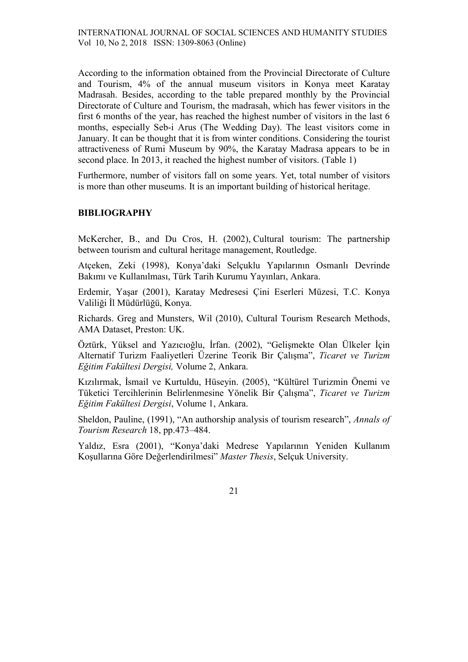According to the information obtained from the Provincial Directorate of Culture and Tourism, 4% of the annual museum visitors in Konya meet Karatay Madrasah. Besides, according to the table prepared monthly by the Provincial Directorate of Culture and Tourism, the madrasah, which has fewer visitors in the first 6 months of the year, has reached the highest number of visitors in the last 6 months, especially Seb-i Arus (The Wedding Day). The least visitors come in January. It can be thought that it is from winter conditions. Considering the tourist attractiveness of Rumi Museum by 90%, the Karatay Madrasa appears to be in second place. In 2013, it reached the highest number of visitors. (Table 1)

Furthermore, number of visitors fall on some years. Yet, total number of visitors is more than other museums. It is an important building of historical heritage.

## **BIBLIOGRAPHY**

McKercher, B., and Du Cros, H. (2002), Cultural tourism: The partnership between tourism and cultural heritage management, Routledge.

Atçeken, Zeki (1998), Konya'daki Selçuklu Yapılarının Osmanlı Devrinde Bakımı ve Kullanılması, Türk Tarih Kurumu Yayınları, Ankara.

Erdemir, Yaşar (2001), Karatay Medresesi Çini Eserleri Müzesi, T.C. Konya Valiliği İl Müdürlüğü, Konya.

Richards. Greg and Munsters, Wil (2010), Cultural Tourism Research Methods, AMA Dataset, Preston: UK.

Öztürk, Yüksel and Yazıcıoğlu, İrfan. (2002), "Gelişmekte Olan Ülkeler İçin Alternatif Turizm Faaliyetleri Üzerine Teorik Bir Çalışma", Ticaret ve Turizm Eğitim Fakültesi Dergisi, Volume 2, Ankara.

Kızılırmak, İsmail ve Kurtuldu, Hüseyin. (2005), "Kültürel Turizmin Önemi ve Tüketici Tercihlerinin Belirlenmesine Yönelik Bir Çalışma", Ticaret ve Turizm Eğitim Fakültesi Dergisi, Volume 1, Ankara.

Sheldon, Pauline, (1991), "An authorship analysis of tourism research", Annals of Tourism Research 18, pp.473–484.

Yaldız, Esra (2001), "Konya'daki Medrese Yapılarının Yeniden Kullanım Koşullarına Göre Değerlendirilmesi" Master Thesis, Selçuk University.